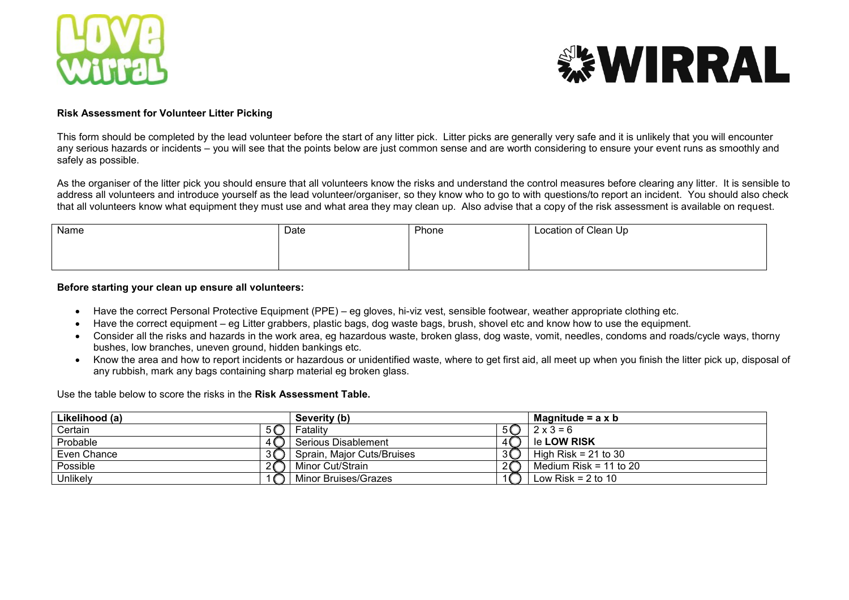



## **Risk Assessment for Volunteer Litter Picking**

This form should be completed by the lead volunteer before the start of any litter pick. Litter picks are generally very safe and it is unlikely that you will encounter any serious hazards or incidents – you will see that the points below are just common sense and are worth considering to ensure your event runs as smoothly and safely as possible.

As the organiser of the litter pick you should ensure that all volunteers know the risks and understand the control measures before clearing any litter. It is sensible to address all volunteers and introduce yourself as the lead volunteer/organiser, so they know who to go to with questions/to report an incident. You should also check that all volunteers know what equipment they must use and what area they may clean up. Also advise that a copy of the risk assessment is available on request.

| Name | Date | Phone | Location of Clean Up |
|------|------|-------|----------------------|
|      |      |       |                      |
|      |      |       |                      |

## **Before starting your clean up ensure all volunteers:**

- Have the correct Personal Protective Equipment (PPE) eg gloves, hi-viz vest, sensible footwear, weather appropriate clothing etc.
- Have the correct equipment eg Litter grabbers, plastic bags, dog waste bags, brush, shovel etc and know how to use the equipment.
- Consider all the risks and hazards in the work area, eg hazardous waste, broken glass, dog waste, vomit, needles, condoms and roads/cycle ways, thorny bushes, low branches, uneven ground, hidden bankings etc.
- Know the area and how to report incidents or hazardous or unidentified waste, where to get first aid, all meet up when you finish the litter pick up, disposal of any rubbish, mark any bags containing sharp material eg broken glass.

Use the table below to score the risks in the **Risk Assessment Table.**

| Likelihood (a) |  | Severity (b)               |         | Magnitude = $a \times b$ |  |
|----------------|--|----------------------------|---------|--------------------------|--|
| Certain        |  | Fatality                   |         | $2 \times 3 = 6$         |  |
| Probable       |  | Serious Disablement        |         | le <b>LOW RISK</b>       |  |
| Even Chance    |  | Sprain, Major Cuts/Bruises | 3Q      | High Risk = $21$ to 30   |  |
| Possible       |  | Minor Cut/Strain           | $2\Box$ | Medium Risk = 11 to 20   |  |
| Unlikely       |  | Minor Bruises/Grazes       |         | Low Risk = $2$ to 10     |  |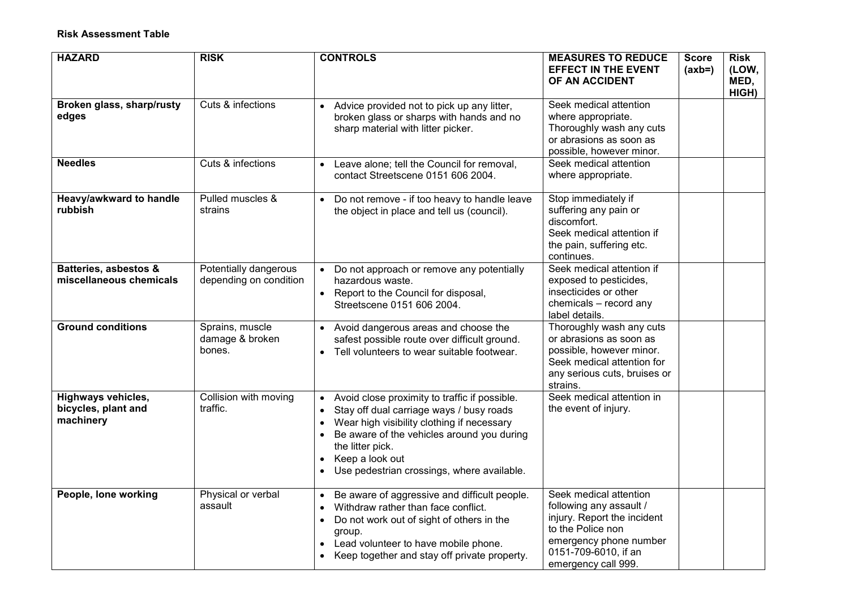| <b>HAZARD</b>                                          | <b>RISK</b>                                     | <b>CONTROLS</b>                                                                                                                                                                                                                                                                                                                             | <b>MEASURES TO REDUCE</b><br><b>EFFECT IN THE EVENT</b><br>OF AN ACCIDENT                                                                                                      | <b>Score</b><br>$(axb=)$ | <b>Risk</b><br>(LOW,<br>MED,<br>HIGH) |
|--------------------------------------------------------|-------------------------------------------------|---------------------------------------------------------------------------------------------------------------------------------------------------------------------------------------------------------------------------------------------------------------------------------------------------------------------------------------------|--------------------------------------------------------------------------------------------------------------------------------------------------------------------------------|--------------------------|---------------------------------------|
| Broken glass, sharp/rusty<br>edges                     | Cuts & infections                               | Advice provided not to pick up any litter,<br>$\bullet$<br>broken glass or sharps with hands and no<br>sharp material with litter picker.                                                                                                                                                                                                   | Seek medical attention<br>where appropriate.<br>Thoroughly wash any cuts<br>or abrasions as soon as<br>possible, however minor.                                                |                          |                                       |
| <b>Needles</b>                                         | Cuts & infections                               | • Leave alone; tell the Council for removal,<br>contact Streetscene 0151 606 2004.                                                                                                                                                                                                                                                          | Seek medical attention<br>where appropriate.                                                                                                                                   |                          |                                       |
| Heavy/awkward to handle<br>rubbish                     | Pulled muscles &<br>strains                     | Do not remove - if too heavy to handle leave<br>$\bullet$<br>the object in place and tell us (council).                                                                                                                                                                                                                                     | Stop immediately if<br>suffering any pain or<br>discomfort.<br>Seek medical attention if<br>the pain, suffering etc.<br>continues.                                             |                          |                                       |
| Batteries, asbestos &<br>miscellaneous chemicals       | Potentially dangerous<br>depending on condition | Do not approach or remove any potentially<br>$\bullet$<br>hazardous waste.<br>Report to the Council for disposal,<br>$\bullet$<br>Streetscene 0151 606 2004.                                                                                                                                                                                | Seek medical attention if<br>exposed to pesticides,<br>insecticides or other<br>chemicals - record any<br>label details.                                                       |                          |                                       |
| <b>Ground conditions</b>                               | Sprains, muscle<br>damage & broken<br>bones.    | Avoid dangerous areas and choose the<br>$\bullet$<br>safest possible route over difficult ground.<br>Tell volunteers to wear suitable footwear.<br>$\bullet$                                                                                                                                                                                | Thoroughly wash any cuts<br>or abrasions as soon as<br>possible, however minor.<br>Seek medical attention for<br>any serious cuts, bruises or<br>strains.                      |                          |                                       |
| Highways vehicles,<br>bicycles, plant and<br>machinery | Collision with moving<br>traffic.               | Avoid close proximity to traffic if possible.<br>Stay off dual carriage ways / busy roads<br>$\bullet$<br>Wear high visibility clothing if necessary<br>$\bullet$<br>Be aware of the vehicles around you during<br>$\bullet$<br>the litter pick.<br>Keep a look out<br>$\bullet$<br>Use pedestrian crossings, where available.<br>$\bullet$ | Seek medical attention in<br>the event of injury.                                                                                                                              |                          |                                       |
| People, lone working                                   | Physical or verbal<br>assault                   | • Be aware of aggressive and difficult people.<br>Withdraw rather than face conflict.<br>Do not work out of sight of others in the<br>$\bullet$<br>group.<br>Lead volunteer to have mobile phone.<br>$\bullet$<br>Keep together and stay off private property.                                                                              | Seek medical attention<br>following any assault /<br>injury. Report the incident<br>to the Police non<br>emergency phone number<br>0151-709-6010, if an<br>emergency call 999. |                          |                                       |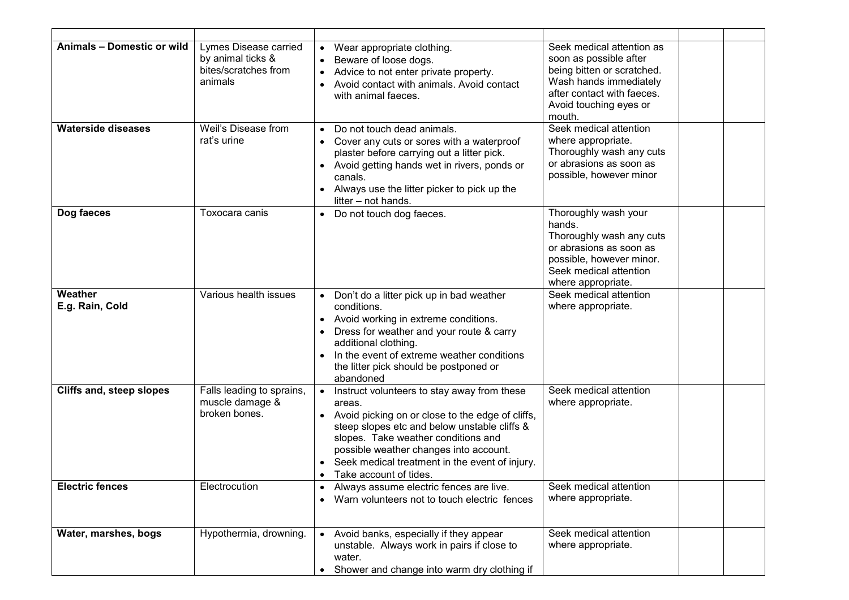| Animals - Domestic or wild | Lymes Disease carried<br>by animal ticks &<br>bites/scratches from<br>animals | • Wear appropriate clothing.<br>Beware of loose dogs.<br>Advice to not enter private property.<br>$\bullet$<br>Avoid contact with animals. Avoid contact<br>$\bullet$<br>with animal faeces.                                                                                                                                          | Seek medical attention as<br>soon as possible after<br>being bitten or scratched.<br>Wash hands immediately<br>after contact with faeces.<br>Avoid touching eyes or<br>mouth. |  |
|----------------------------|-------------------------------------------------------------------------------|---------------------------------------------------------------------------------------------------------------------------------------------------------------------------------------------------------------------------------------------------------------------------------------------------------------------------------------|-------------------------------------------------------------------------------------------------------------------------------------------------------------------------------|--|
| <b>Waterside diseases</b>  | Weil's Disease from<br>rat's urine                                            | Do not touch dead animals.<br>$\bullet$<br>Cover any cuts or sores with a waterproof<br>plaster before carrying out a litter pick.<br>• Avoid getting hands wet in rivers, ponds or<br>canals.<br>Always use the litter picker to pick up the<br>litter - not hands.                                                                  | Seek medical attention<br>where appropriate.<br>Thoroughly wash any cuts<br>or abrasions as soon as<br>possible, however minor                                                |  |
| Dog faeces                 | Toxocara canis                                                                | Do not touch dog faeces.<br>$\bullet$                                                                                                                                                                                                                                                                                                 | Thoroughly wash your<br>hands.<br>Thoroughly wash any cuts<br>or abrasions as soon as<br>possible, however minor.<br>Seek medical attention<br>where appropriate.             |  |
| Weather<br>E.g. Rain, Cold | Various health issues                                                         | Don't do a litter pick up in bad weather<br>$\bullet$<br>conditions.<br>• Avoid working in extreme conditions.<br>Dress for weather and your route & carry<br>additional clothing.<br>In the event of extreme weather conditions<br>the litter pick should be postponed or<br>abandoned                                               | Seek medical attention<br>where appropriate.                                                                                                                                  |  |
| Cliffs and, steep slopes   | Falls leading to sprains,<br>muscle damage &<br>broken bones.                 | Instruct volunteers to stay away from these<br>areas.<br>• Avoid picking on or close to the edge of cliffs,<br>steep slopes etc and below unstable cliffs &<br>slopes. Take weather conditions and<br>possible weather changes into account.<br>Seek medical treatment in the event of injury.<br>Take account of tides.<br>$\bullet$ | Seek medical attention<br>where appropriate.                                                                                                                                  |  |
| <b>Electric fences</b>     | Electrocution                                                                 | • Always assume electric fences are live.<br>Warn volunteers not to touch electric fences                                                                                                                                                                                                                                             | Seek medical attention<br>where appropriate.                                                                                                                                  |  |
| Water, marshes, bogs       | Hypothermia, drowning.                                                        | Avoid banks, especially if they appear<br>$\bullet$<br>unstable. Always work in pairs if close to<br>water.<br>Shower and change into warm dry clothing if                                                                                                                                                                            | Seek medical attention<br>where appropriate.                                                                                                                                  |  |